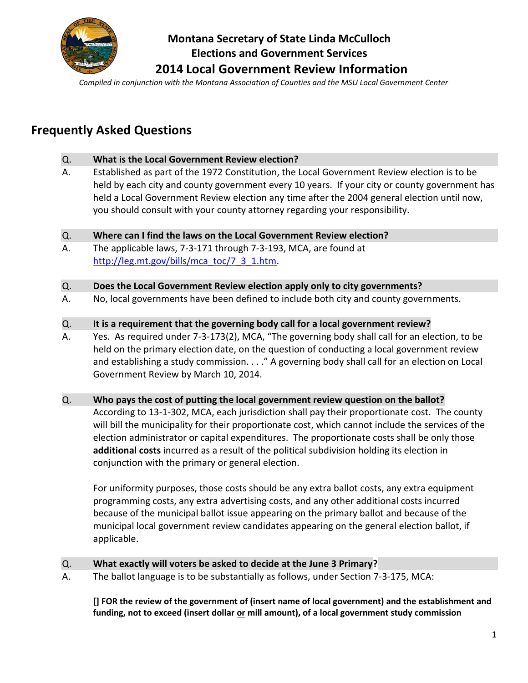

# **Montana Secretary of State Linda McCulloch Elections and Government Services**

 **2014 Local Government Review Information**

*Compiled in conjunction with the Montana Association of Counties and the MSU Local Government Center*

# **Frequently Asked Questions**

| Q. | What is the Local Government Review election?                                                 |
|----|-----------------------------------------------------------------------------------------------|
| А. | Established as part of the 1972 Constitution, the Local Government Review election is to be   |
|    | held by each city and county government every 10 years. If your city or county government has |
|    | held a Local Government Review election any time after the 2004 general election until now,   |
|    | you should consult with your county attorney regarding your responsibility.                   |

#### Q. **Where can I find the laws on the Local Government Review election?**

A. The applicable laws, 7-3-171 through 7-3-193, MCA, are found at [http://leg.mt.gov/bills/mca\\_toc/7\\_3\\_1.htm.](http://leg.mt.gov/bills/mca_toc/7_3_1.htm)

#### Q. **Does the Local Government Review election apply only to city governments?**

A. No, local governments have been defined to include both city and county governments.

#### Q. **It is a requirement that the governing body call for a local government review?**

A. Yes. As required under 7-3-173(2), MCA, "The governing body shall call for an election, to be held on the primary election date, on the question of conducting a local government review and establishing a study commission. . . ." A governing body shall call for an election on Local Government Review by March 10, 2014.

#### Q. **Who pays the cost of putting the local government review question on the ballot?**

According to 13-1-302, MCA, each jurisdiction shall pay their proportionate cost. The county will bill the municipality for their proportionate cost, which cannot include the services of the election administrator or capital expenditures. The proportionate costs shall be only those **additional costs** incurred as a result of the political subdivision holding its election in conjunction with the primary or general election.

For uniformity purposes, those costs should be any extra ballot costs, any extra equipment programming costs, any extra advertising costs, and any other additional costs incurred because of the municipal ballot issue appearing on the primary ballot and because of the municipal local government review candidates appearing on the general election ballot, if applicable.

#### Q. **What exactly will voters be asked to decide at the June 3 Primary?**

A. The ballot language is to be substantially as follows, under Section 7-3-175, MCA:

**[] FOR the review of the government of (insert name of local government) and the establishment and funding, not to exceed (insert dollar or mill amount), of a local government study commission**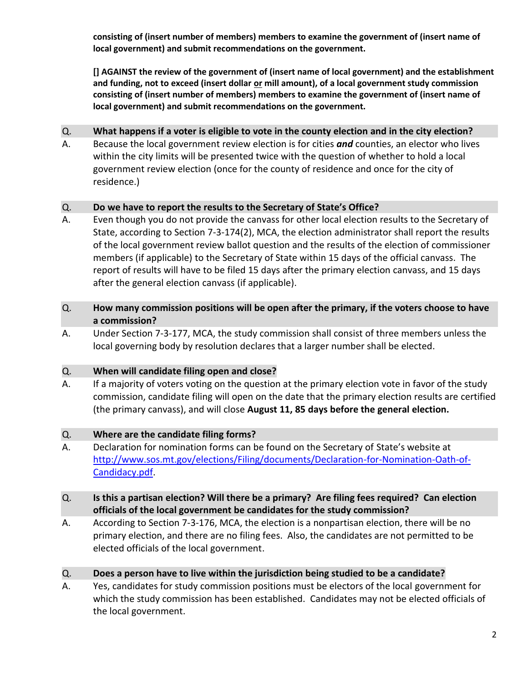**consisting of (insert number of members) members to examine the government of (insert name of local government) and submit recommendations on the government.** 

**[] AGAINST the review of the government of (insert name of local government) and the establishment and funding, not to exceed (insert dollar or mill amount), of a local government study commission consisting of (insert number of members) members to examine the government of (insert name of local government) and submit recommendations on the government.**

## Q. **What happens if a voter is eligible to vote in the county election and in the city election?**

A. Because the local government review election is for cities *and* counties, an elector who lives within the city limits will be presented twice with the question of whether to hold a local government review election (once for the county of residence and once for the city of residence.)

#### Q. **Do we have to report the results to the Secretary of State's Office?**

A. Even though you do not provide the canvass for other local election results to the Secretary of State, according to Section 7-3-174(2), MCA, the election administrator shall report the results of the local government review ballot question and the results of the election of commissioner members (if applicable) to the Secretary of State within 15 days of the official canvass. The report of results will have to be filed 15 days after the primary election canvass, and 15 days after the general election canvass (if applicable).

## Q. **How many commission positions will be open after the primary, if the voters choose to have a commission?**

A. Under Section 7-3-177, MCA, the study commission shall consist of three members unless the local governing body by resolution declares that a larger number shall be elected.

# Q. **When will candidate filing open and close?**

A. If a majority of voters voting on the question at the primary election vote in favor of the study commission, candidate filing will open on the date that the primary election results are certified (the primary canvass), and will close **August 11, 85 days before the general election.**

#### Q. **Where are the candidate filing forms?**

- A. Declaration for nomination forms can be found on the Secretary of State's website at [http://www.sos.mt.gov/elections/Filing/documents/Declaration-for-Nomination-Oath-of-](http://www.sos.mt.gov/elections/Filing/documents/Declaration-for-Nomination-Oath-of-Candidacy.pdf)[Candidacy.pdf.](http://www.sos.mt.gov/elections/Filing/documents/Declaration-for-Nomination-Oath-of-Candidacy.pdf)
- Q. **Is this a partisan election? Will there be a primary? Are filing fees required? Can election officials of the local government be candidates for the study commission?**
- A. According to Section 7-3-176, MCA, the election is a nonpartisan election, there will be no primary election, and there are no filing fees. Also, the candidates are not permitted to be elected officials of the local government.

# Q. **Does a person have to live within the jurisdiction being studied to be a candidate?**

A. Yes, candidates for study commission positions must be electors of the local government for which the study commission has been established. Candidates may not be elected officials of the local government.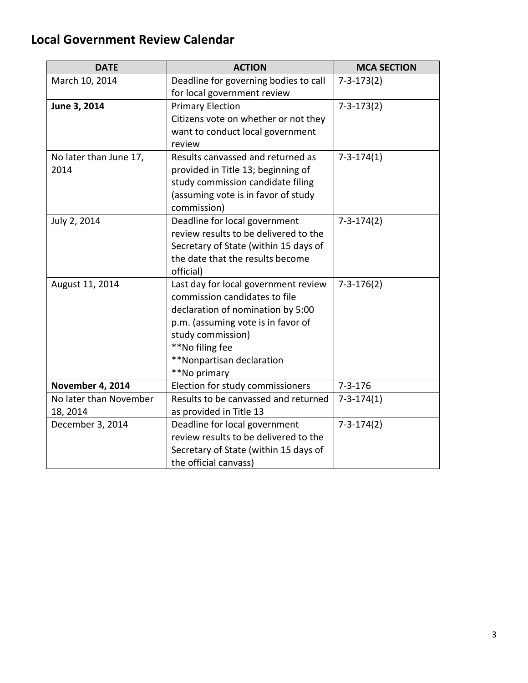# **Local Government Review Calendar**

| <b>DATE</b>            | <b>ACTION</b>                         | <b>MCA SECTION</b> |
|------------------------|---------------------------------------|--------------------|
| March 10, 2014         | Deadline for governing bodies to call | $7 - 3 - 173(2)$   |
|                        | for local government review           |                    |
| June 3, 2014           | <b>Primary Election</b>               | $7 - 3 - 173(2)$   |
|                        | Citizens vote on whether or not they  |                    |
|                        | want to conduct local government      |                    |
|                        | review                                |                    |
| No later than June 17, | Results canvassed and returned as     | $7 - 3 - 174(1)$   |
| 2014                   | provided in Title 13; beginning of    |                    |
|                        | study commission candidate filing     |                    |
|                        | (assuming vote is in favor of study   |                    |
|                        | commission)                           |                    |
| July 2, 2014           | Deadline for local government         | $7 - 3 - 174(2)$   |
|                        | review results to be delivered to the |                    |
|                        | Secretary of State (within 15 days of |                    |
|                        | the date that the results become      |                    |
|                        | official)                             |                    |
| August 11, 2014        | Last day for local government review  | $7 - 3 - 176(2)$   |
|                        | commission candidates to file         |                    |
|                        | declaration of nomination by 5:00     |                    |
|                        | p.m. (assuming vote is in favor of    |                    |
|                        | study commission)                     |                    |
|                        | **No filing fee                       |                    |
|                        | **Nonpartisan declaration             |                    |
|                        | **No primary                          |                    |
| November 4, 2014       | Election for study commissioners      | $7 - 3 - 176$      |
| No later than November | Results to be canvassed and returned  | $7 - 3 - 174(1)$   |
| 18, 2014               | as provided in Title 13               |                    |
| December 3, 2014       | Deadline for local government         | $7 - 3 - 174(2)$   |
|                        | review results to be delivered to the |                    |
|                        | Secretary of State (within 15 days of |                    |
|                        | the official canvass)                 |                    |